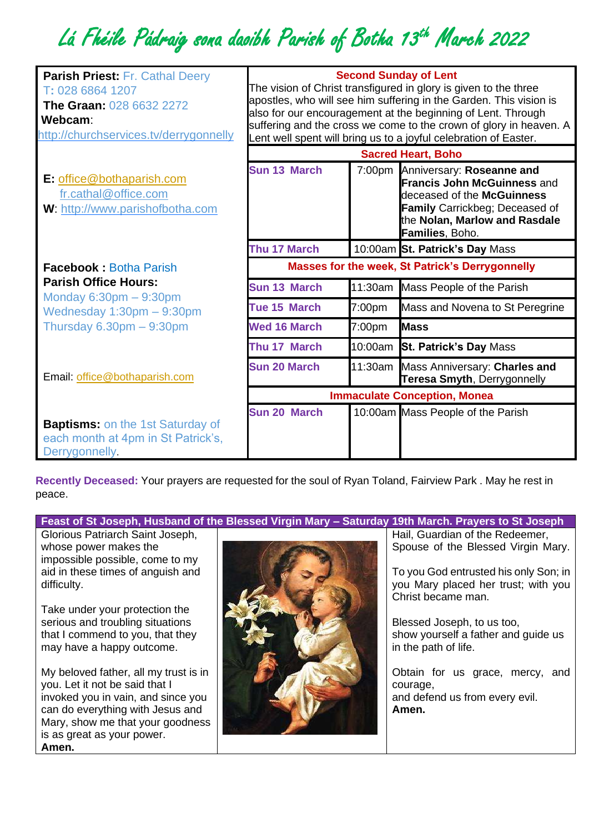## Lá Fhéile Pádraig sona daoibh Parish of Botha 13th March 2022

| <b>Parish Priest: Fr. Cathal Deery</b><br>T: 028 6864 1207<br><b>The Graan: 028 6632 2272</b><br>Webcam:<br>http://churchservices.tv/derrygonnelly | <b>Second Sunday of Lent</b><br>The vision of Christ transfigured in glory is given to the three<br>apostles, who will see him suffering in the Garden. This vision is<br>also for our encouragement at the beginning of Lent. Through<br>suffering and the cross we come to the crown of glory in heaven. A<br>Lent well spent will bring us to a joyful celebration of Easter.<br><b>Sacred Heart, Boho</b> |         |                                                                                                                                                                                            |
|----------------------------------------------------------------------------------------------------------------------------------------------------|---------------------------------------------------------------------------------------------------------------------------------------------------------------------------------------------------------------------------------------------------------------------------------------------------------------------------------------------------------------------------------------------------------------|---------|--------------------------------------------------------------------------------------------------------------------------------------------------------------------------------------------|
|                                                                                                                                                    |                                                                                                                                                                                                                                                                                                                                                                                                               |         |                                                                                                                                                                                            |
| E: office@bothaparish.com<br>fr.cathal@office.com<br>W: http://www.parishofbotha.com                                                               | Sun 13 March                                                                                                                                                                                                                                                                                                                                                                                                  |         | 7:00pm Anniversary: Roseanne and<br><b>Francis John McGuinness and</b><br>deceased of the McGuinness<br>Family Carrickbeg; Deceased of<br>the Nolan, Marlow and Rasdale<br>Families, Boho. |
|                                                                                                                                                    | Thu 17 March                                                                                                                                                                                                                                                                                                                                                                                                  |         | 10:00am St. Patrick's Day Mass                                                                                                                                                             |
| <b>Facebook: Botha Parish</b>                                                                                                                      | <b>Masses for the week, St Patrick's Derrygonnelly</b>                                                                                                                                                                                                                                                                                                                                                        |         |                                                                                                                                                                                            |
| <b>Parish Office Hours:</b>                                                                                                                        | <b>Sun 13 March</b>                                                                                                                                                                                                                                                                                                                                                                                           | 11:30am | Mass People of the Parish                                                                                                                                                                  |
| Monday $6:30$ pm $-9:30$ pm<br>Wednesday $1:30$ pm $-9:30$ pm                                                                                      | Tue 15 March                                                                                                                                                                                                                                                                                                                                                                                                  | 7:00pm  | Mass and Novena to St Peregrine                                                                                                                                                            |
| Thursday $6.30 \text{pm} - 9:30 \text{pm}$                                                                                                         | <b>Wed 16 March</b>                                                                                                                                                                                                                                                                                                                                                                                           | 7:00pm  | <b>I</b> Mass                                                                                                                                                                              |
|                                                                                                                                                    | Thu 17 March                                                                                                                                                                                                                                                                                                                                                                                                  |         | 10:00am St. Patrick's Day Mass                                                                                                                                                             |
| Email: office@bothaparish.com                                                                                                                      | <b>Sun 20 March</b>                                                                                                                                                                                                                                                                                                                                                                                           |         | 11:30am Mass Anniversary: Charles and<br>Teresa Smyth, Derrygonnelly                                                                                                                       |
|                                                                                                                                                    | <b>Immaculate Conception, Monea</b>                                                                                                                                                                                                                                                                                                                                                                           |         |                                                                                                                                                                                            |
| <b>Baptisms:</b> on the 1st Saturday of<br>each month at 4pm in St Patrick's,<br>Derrygonnelly.                                                    | <b>Sun 20 March</b>                                                                                                                                                                                                                                                                                                                                                                                           |         | 10:00am Mass People of the Parish                                                                                                                                                          |

**Recently Deceased:** Your prayers are requested for the soul of Ryan Toland, Fairview Park . May he rest in peace.

**Feast of St Joseph, Husband of the Blessed Virgin Mary – Saturday 19th March. Prayers to St Joseph**

Glorious Patriarch Saint Joseph, whose power makes the impossible possible, come to my aid in these times of anguish and difficulty.

Take under your protection the serious and troubling situations that I commend to you, that they may have a happy outcome.

My beloved father, all my trust is in you. Let it not be said that I invoked you in vain, and since you can do everything with Jesus and Mary, show me that your goodness is as great as your power. **Amen.**



Hail, Guardian of the Redeemer, Spouse of the Blessed Virgin Mary.

To you God entrusted his only Son; in you Mary placed her trust; with you Christ became man.

Blessed Joseph, to us too, show yourself a father and guide us in the path of life.

Obtain for us grace, mercy, and courage, and defend us from every evil. **Amen.**